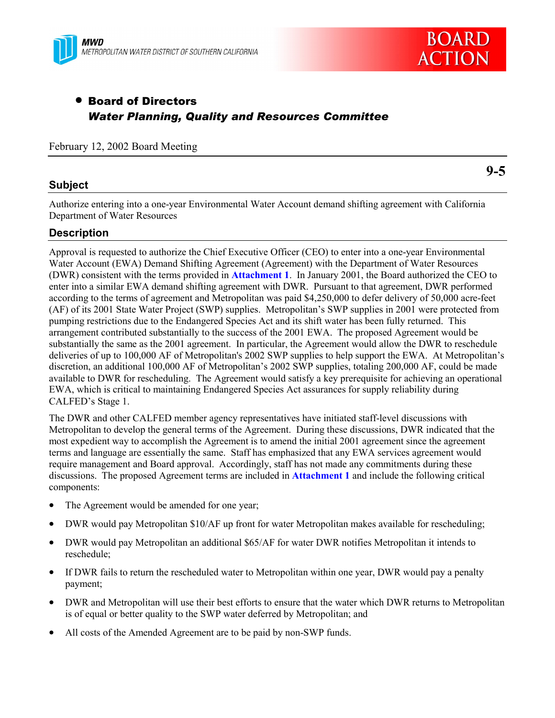



# • Board of Directors *Water Planning, Quality and Resources Committee*

February 12, 2002 Board Meeting

#### **Subject**

**9-5**

Authorize entering into a one-year Environmental Water Account demand shifting agreement with California Department of Water Resources

#### **Description**

Approval is requested to authorize the Chief Executive Officer (CEO) to enter into a one-year Environmental Water Account (EWA) Demand Shifting Agreement (Agreement) with the Department of Water Resources (DWR) consistent with the terms provided in **Attachment 1**. In January 2001, the Board authorized the CEO to enter into a similar EWA demand shifting agreement with DWR. Pursuant to that agreement, DWR performed according to the terms of agreement and Metropolitan was paid \$4,250,000 to defer delivery of 50,000 acre-feet (AF) of its 2001 State Water Project (SWP) supplies. Metropolitan's SWP supplies in 2001 were protected from pumping restrictions due to the Endangered Species Act and its shift water has been fully returned. This arrangement contributed substantially to the success of the 2001 EWA. The proposed Agreement would be substantially the same as the 2001 agreement. In particular, the Agreement would allow the DWR to reschedule deliveries of up to 100,000 AF of Metropolitan's 2002 SWP supplies to help support the EWA. At Metropolitan's discretion, an additional 100,000 AF of Metropolitan's 2002 SWP supplies, totaling 200,000 AF, could be made available to DWR for rescheduling. The Agreement would satisfy a key prerequisite for achieving an operational EWA, which is critical to maintaining Endangered Species Act assurances for supply reliability during CALFED's Stage 1.

The DWR and other CALFED member agency representatives have initiated staff-level discussions with Metropolitan to develop the general terms of the Agreement. During these discussions, DWR indicated that the most expedient way to accomplish the Agreement is to amend the initial 2001 agreement since the agreement terms and language are essentially the same. Staff has emphasized that any EWA services agreement would require management and Board approval. Accordingly, staff has not made any commitments during these discussions. The proposed Agreement terms are included in **Attachment 1** and include the following critical components:

- The Agreement would be amended for one year;
- DWR would pay Metropolitan \$10/AF up front for water Metropolitan makes available for rescheduling;
- DWR would pay Metropolitan an additional \$65/AF for water DWR notifies Metropolitan it intends to reschedule;
- If DWR fails to return the rescheduled water to Metropolitan within one year, DWR would pay a penalty payment;
- DWR and Metropolitan will use their best efforts to ensure that the water which DWR returns to Metropolitan is of equal or better quality to the SWP water deferred by Metropolitan; and
- All costs of the Amended Agreement are to be paid by non-SWP funds.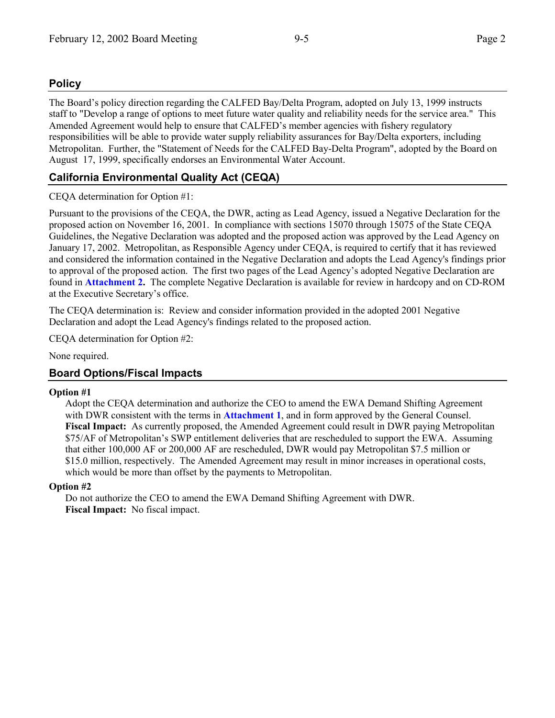## **Policy**

The Board's policy direction regarding the CALFED Bay/Delta Program, adopted on July 13, 1999 instructs staff to "Develop a range of options to meet future water quality and reliability needs for the service area." This Amended Agreement would help to ensure that CALFED's member agencies with fishery regulatory responsibilities will be able to provide water supply reliability assurances for Bay/Delta exporters, including Metropolitan. Further, the "Statement of Needs for the CALFED Bay-Delta Program", adopted by the Board on August 17, 1999, specifically endorses an Environmental Water Account.

## **California Environmental Quality Act (CEQA)**

## CEQA determination for Option #1:

Pursuant to the provisions of the CEQA, the DWR, acting as Lead Agency, issued a Negative Declaration for the proposed action on November 16, 2001. In compliance with sections 15070 through 15075 of the State CEQA Guidelines, the Negative Declaration was adopted and the proposed action was approved by the Lead Agency on January 17, 2002. Metropolitan, as Responsible Agency under CEQA, is required to certify that it has reviewed and considered the information contained in the Negative Declaration and adopts the Lead Agency's findings prior to approval of the proposed action. The first two pages of the Lead Agency's adopted Negative Declaration are found in **Attachment 2.** The complete Negative Declaration is available for review in hardcopy and on CD-ROM at the Executive Secretary's office.

The CEQA determination is: Review and consider information provided in the adopted 2001 Negative Declaration and adopt the Lead Agency's findings related to the proposed action.

CEQA determination for Option #2:

None required.

## **Board Options/Fiscal Impacts**

#### **Option #1**

Adopt the CEQA determination and authorize the CEO to amend the EWA Demand Shifting Agreement with DWR consistent with the terms in **Attachment 1**, and in form approved by the General Counsel. **Fiscal Impact:** As currently proposed, the Amended Agreement could result in DWR paying Metropolitan \$75/AF of Metropolitan's SWP entitlement deliveries that are rescheduled to support the EWA. Assuming that either 100,000 AF or 200,000 AF are rescheduled, DWR would pay Metropolitan \$7.5 million or \$15.0 million, respectively. The Amended Agreement may result in minor increases in operational costs, which would be more than offset by the payments to Metropolitan.

#### **Option #2**

Do not authorize the CEO to amend the EWA Demand Shifting Agreement with DWR. **Fiscal Impact:** No fiscal impact.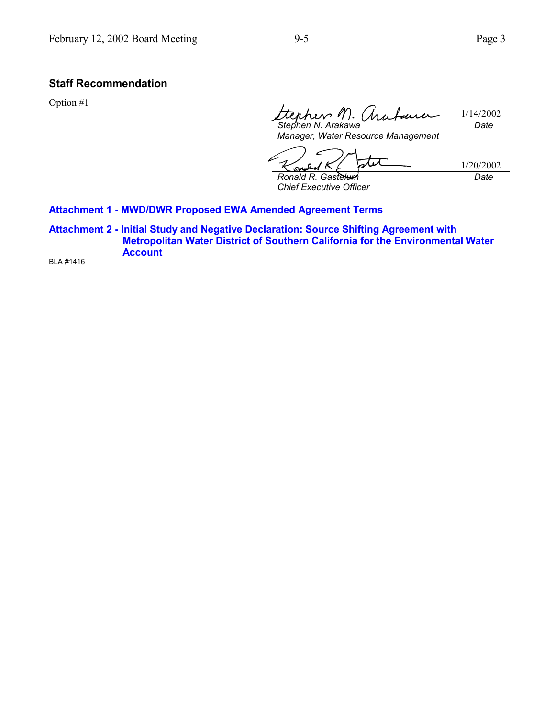## **Staff Recommendation**

Option #1

tephen M. ara 1/14/2002 اد دار *Stephen N. Arakawa Date*

*Manager, Water Resource Management*

tit 1/20/2002  $\kappa$ 0 Ş *Ronald R. Gastelum Date*

*Chief Executive Officer*

#### **Attachment 1 - MWD/DWR Proposed EWA Amended Agreement Terms**

**Attachment 2 - Initial Study and Negative Declaration: Source Shifting Agreement with Metropolitan Water District of Southern California for the Environmental Water Account**

BLA #1416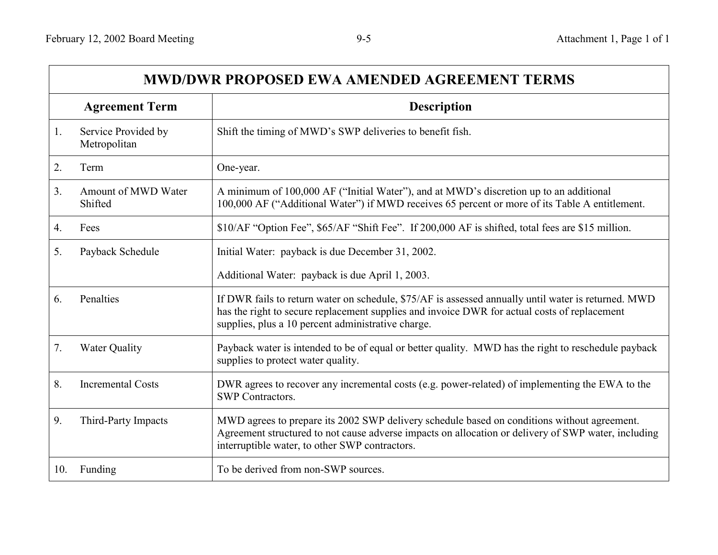| <b>MWD/DWR PROPOSED EWA AMENDED AGREEMENT TERMS</b> |                                     |                                                                                                                                                                                                                                                           |
|-----------------------------------------------------|-------------------------------------|-----------------------------------------------------------------------------------------------------------------------------------------------------------------------------------------------------------------------------------------------------------|
|                                                     | <b>Agreement Term</b>               | <b>Description</b>                                                                                                                                                                                                                                        |
| 1.                                                  | Service Provided by<br>Metropolitan | Shift the timing of MWD's SWP deliveries to benefit fish.                                                                                                                                                                                                 |
| 2.                                                  | Term                                | One-year.                                                                                                                                                                                                                                                 |
| 3.                                                  | Amount of MWD Water<br>Shifted      | A minimum of 100,000 AF ("Initial Water"), and at MWD's discretion up to an additional<br>100,000 AF ("Additional Water") if MWD receives 65 percent or more of its Table A entitlement.                                                                  |
| 4.                                                  | Fees                                | \$10/AF "Option Fee", \$65/AF "Shift Fee". If 200,000 AF is shifted, total fees are \$15 million.                                                                                                                                                         |
| 5.                                                  | Payback Schedule                    | Initial Water: payback is due December 31, 2002.                                                                                                                                                                                                          |
|                                                     |                                     | Additional Water: payback is due April 1, 2003.                                                                                                                                                                                                           |
| 6.                                                  | Penalties                           | If DWR fails to return water on schedule, \$75/AF is assessed annually until water is returned. MWD<br>has the right to secure replacement supplies and invoice DWR for actual costs of replacement<br>supplies, plus a 10 percent administrative charge. |
| 7.                                                  | <b>Water Quality</b>                | Payback water is intended to be of equal or better quality. MWD has the right to reschedule payback<br>supplies to protect water quality.                                                                                                                 |
| 8.                                                  | <b>Incremental Costs</b>            | DWR agrees to recover any incremental costs (e.g. power-related) of implementing the EWA to the<br><b>SWP</b> Contractors.                                                                                                                                |
| 9.                                                  | Third-Party Impacts                 | MWD agrees to prepare its 2002 SWP delivery schedule based on conditions without agreement.<br>Agreement structured to not cause adverse impacts on allocation or delivery of SWP water, including<br>interruptible water, to other SWP contractors.      |
| 10.                                                 | Funding                             | To be derived from non-SWP sources.                                                                                                                                                                                                                       |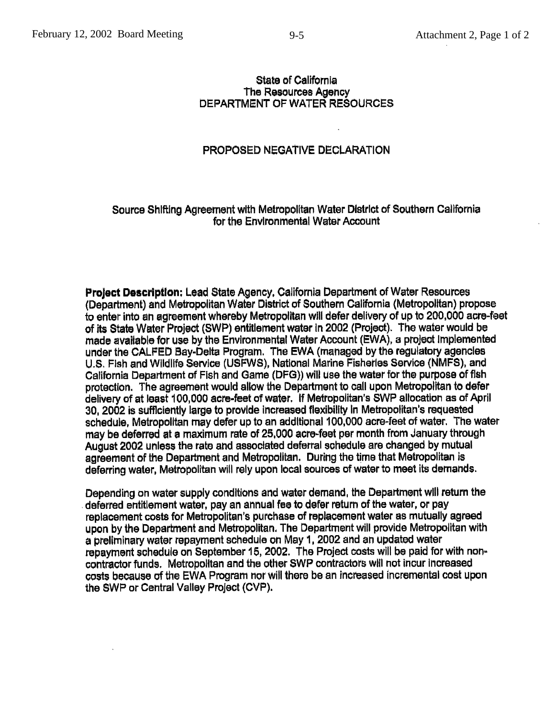#### State of California The Resources Agency **DEPARTMENT OF WATER RESOURCES**

#### PROPOSED NEGATIVE DECLARATION

#### Source Shifting Agreement with Metropolitan Water District of Southern California for the Environmental Water Account

**Project Description: Lead State Agency, California Department of Water Resources** (Department) and Metropolitan Water District of Southern California (Metropolitan) propose to enter into an agreement whereby Metropolitan will defer delivery of up to 200,000 acre-feet of its State Water Project (SWP) entitlement water in 2002 (Project). The water would be made available for use by the Environmental Water Account (EWA), a project implemented under the CALFED Bay-Delta Program. The EWA (managed by the regulatory agencies U.S. Fish and Wildlife Service (USFWS), National Marine Fisheries Service (NMFS), and California Department of Fish and Game (DFG)) will use the water for the purpose of fish protection. The agreement would allow the Department to call upon Metropolitan to defer delivery of at least 100,000 acre-feet of water. If Metropolitan's SWP allocation as of April 30, 2002 is sufficiently large to provide increased flexibility in Metropolitan's requested schedule. Metropolitan may defer up to an additional 100,000 acre-feet of water. The water may be deferred at a maximum rate of 25,000 acre-feet per month from January through August 2002 unless the rate and associated deferral schedule are changed by mutual agreement of the Department and Metropolitan. During the time that Metropolitan is deferring water. Metropolitan will rely upon local sources of water to meet its demands.

Depending on water supply conditions and water demand, the Department will return the deferred entitlement water, pay an annual fee to defer return of the water, or pay replacement costs for Metropolitan's purchase of replacement water as mutually agreed upon by the Department and Metropolitan. The Department will provide Metropolitan with a preliminary water repayment schedule on May 1, 2002 and an updated water repayment schedule on September 15, 2002. The Project costs will be paid for with noncontractor funds. Metropolitan and the other SWP contractors will not incur increased costs because of the EWA Program nor will there be an increased incremental cost upon the SWP or Central Valley Project (CVP).